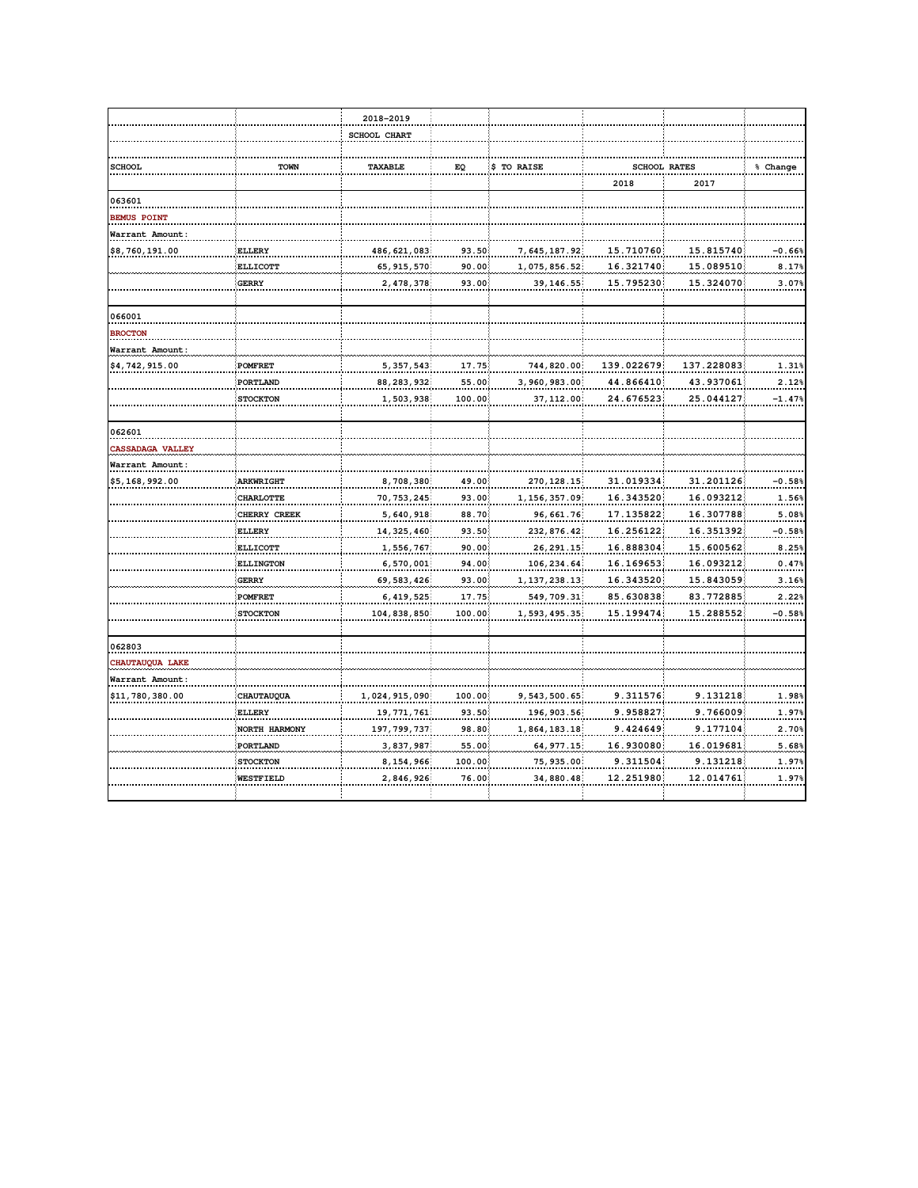|                         |                  | 2018-2019           |              |                |                     |            |          |
|-------------------------|------------------|---------------------|--------------|----------------|---------------------|------------|----------|
|                         |                  | <b>SCHOOL CHART</b> |              |                |                     |            |          |
|                         |                  |                     |              |                |                     |            |          |
| <b>SCHOOL</b>           | TOWN             | TAXABLE             | EQ           | \$ TO RAISE    | <b>SCHOOL RATES</b> |            | % Change |
|                         |                  |                     |              |                | 2018                | 2017       |          |
| 063601                  |                  |                     |              |                |                     |            |          |
| BEMUS POINT             |                  |                     |              |                |                     |            |          |
| Warrant Amount:         |                  |                     |              |                |                     |            |          |
| \$8,760,191.00          | <b>ELLERY</b>    | 486, 621, 083       | 93.50        | 7, 645, 187.92 | 15.710760           | 15.815740  | $-0.66%$ |
|                         | <b>ELLICOTT</b>  | 65, 915, 570        | 90.00        | 1,075,856.52   | 16.321740           | 15.089510  | 8.17%    |
|                         | <b>GERRY</b>     | 2,478,378           | 93.00        | 39, 146.55     | 15.795230           | 15.324070  | 3.07%    |
|                         |                  |                     |              |                |                     |            |          |
| 066001                  |                  |                     |              |                |                     |            |          |
| <b>BROCTON</b>          |                  |                     |              |                |                     |            |          |
| Warrant Amount:         |                  |                     |              |                |                     |            |          |
| \$4,742,915.00          | <b>POMFRET</b>   | 5, 357, 543         | <u>17.75</u> | 744,820.00     | 139.022679          | 137.228083 | 1.31%    |
|                         | PORTLAND         | 88, 283, 932        | 55.00        | 3,960,983.00   | 44.866410           | 43.937061  | 2.12%    |
|                         | <b>STOCKTON</b>  | 1,503,938           | 100.00       | 37, 112.00     | 24.676523           | 25.044127  | $-1.47%$ |
|                         |                  |                     |              |                |                     |            |          |
| 062601                  |                  |                     |              |                |                     |            |          |
| <b>CASSADAGA VALLEY</b> |                  |                     |              |                |                     |            |          |
| Warrant Amount:         |                  |                     |              |                |                     |            |          |
| \$5,168,992.00          | <b>ARKWRIGHT</b> | 8,708,380           | 49.00        | 270, 128.15    | 31.019334           | 31.201126  | $-0.58%$ |
|                         | <b>CHARLOTTE</b> | 70, 753, 245        | 93.00        | 1, 156, 357.09 | 16.343520           | 16.093212  | 1.56%    |
|                         | CHERRY CREEK     | 5, 640, 918         | 88.70        | 96, 661.76     | 17.135822           | 16.307788  | 5.08%    |
|                         | <b>ELLERY</b>    | 14, 325, 460        | 93.50        | 232,876.42     | 16.256122           | 16.351392  | $-0.58%$ |
|                         | <b>ELLICOTT</b>  | 1,556,767           | 90.00        | 26, 291.15     | 16.888304           | 15.600562  | 8.25%    |
|                         | <b>ELLINGTON</b> | 6,570,001           | 94.00        | 106, 234.64    | 16.169653           | 16.093212  | 0.47%    |
|                         | <b>GERRY</b>     | 69, 583, 426        | 93.00        | 1, 137, 238.13 | 16.343520           | 15.843059  | 3.16%    |
|                         | <b>POMFRET</b>   | 6, 419, 525         | 17.75        | 549, 709.31    | 85.630838           | 83.772885  | 2.22%    |
|                         | <b>STOCKTON</b>  | 104,838,850         | 100.00       | 1,593,495.35   | 15.199474           | 15.288552  | $-0.58%$ |
|                         |                  |                     |              |                |                     |            |          |
| 062803                  |                  |                     |              |                |                     |            |          |
| CHAUTAUQUA LAKE         |                  |                     |              |                |                     |            |          |
| Warrant Amount:         |                  |                     |              |                |                     |            |          |
| \$11,780,380.00         | CHAUTAUQUA       | 1,024,915,090       | 100.00       | 9, 543, 500.65 | 9.311576            | 9.131218   | 1.98%    |
|                         | ELLERY           | 19, 771, 761        | 93.50        | 196, 903.56    | 9.958827            | 9.766009   | 1.97%    |
|                         | NORTH HARMONY    | 197, 799, 737       | 98.80        | 1,864,183.18   | 9.424649            | 9.177104   | 2.70%    |
|                         | PORTLAND         | 3, 837, 987         | 55.00        | 64, 977.15     | 16.930080           | 16.019681  | 5.68%    |
|                         | <b>STOCKTON</b>  | 8, 154, 966         | 100.00       | 75, 935.00     | 9.311504            | 9.131218   | 1.97%    |
|                         | WESTFIELD        | 2,846,926           | 76.00        | 34,880.48      | 12.251980           | 12.014761  | 1.97%    |
|                         |                  |                     |              |                |                     |            |          |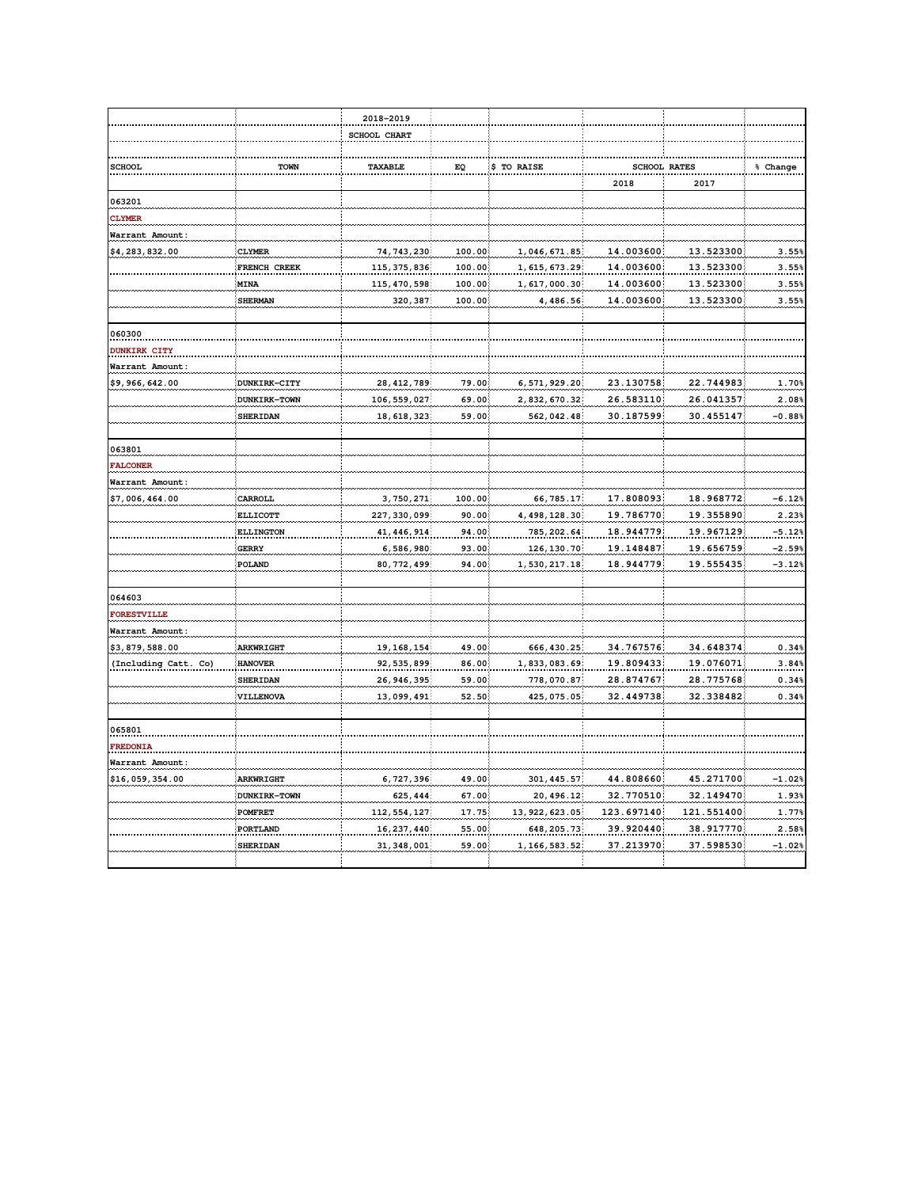|                      |                                | 2018-2019                    |                |                               |                         |                         |                |
|----------------------|--------------------------------|------------------------------|----------------|-------------------------------|-------------------------|-------------------------|----------------|
|                      |                                | <b>SCHOOL CHART</b>          |                |                               |                         |                         |                |
|                      |                                |                              |                |                               |                         |                         |                |
| <b>SCHOOL</b>        | <b>TOWN</b>                    | TAXABLE                      | EQ             | \$ TO RAISE                   | <b>SCHOOL RATES</b>     |                         | % Change       |
|                      |                                |                              |                |                               | 2018                    | 2017                    |                |
| 063201               |                                |                              |                |                               |                         |                         |                |
| <b>CLYMER</b>        |                                |                              |                |                               |                         |                         |                |
| Warrant Amount       |                                |                              |                |                               |                         |                         |                |
| \$4,283,832.00       | <b>CLYMER</b>                  | 74, 743, 230                 | 100.00         | 1,046,671.85                  | 14.003600               | 13.523300               | 3.55%          |
|                      | FRENCH CREEK                   | 115, 375, 836                | 100.00         | 1, 615, 673.29                | 14.003600               | 13.523300               | 3.55%          |
|                      | <b>MINA</b>                    | 115, 470, 598                | 100.00         | 1,617,000.30                  | 14.003600               | 13.523300               | 3.55%          |
|                      | SHERMAN                        | 320, 387                     | 100.00         | 4,486.56                      | 14.003600               | 13.523300               | 3.55%          |
|                      |                                |                              |                |                               |                         |                         |                |
| 060300               |                                |                              |                |                               |                         |                         |                |
| <b>DUNKIRK CITY</b>  |                                |                              |                |                               |                         |                         |                |
| Warrant Amount:      |                                |                              |                |                               |                         |                         |                |
| \$9,966,642.00       | DUNKIRK-CITY                   | 28, 412, 789                 | 79.00          | 6, 571, 929.20                | 23.130758               | 22.744983               | 1.70%          |
|                      | DUNKIRK-TOWN                   | 106, 559, 027                | 69.00          | 2,832,670.32                  | 26.583110               | 26.041357               | 2.08%          |
|                      | <b>SHERIDAN</b>                | 18, 618, 323                 | 59.00          | 562,042.48                    | 30.187599               | 30.455147               | $-0.88%$       |
| 063801               |                                |                              |                |                               |                         |                         |                |
| FALCONER             |                                |                              |                |                               |                         |                         |                |
| Warrant Amount:      |                                |                              |                |                               |                         |                         |                |
| \$7,006,464.00       | CARROLL                        | 3,750,271                    | 100.00         | 66, 785.17                    | 17.808093               | 18.968772               | $-6.12%$       |
|                      | <b>ELLICOTT</b>                | 227, 330, 099                | 90.00          | 4, 498, 128.30                | 19.786770               | 19.355890               | 2.23%          |
|                      | <b>ELLINGTON</b>               | 41, 446, 914                 | 94.00          | 785, 202.64                   | 18.944779               | 19.967129               | $-5.12%$       |
|                      | <b>GERRY</b>                   | 6,586,980                    | 93.00          | 126, 130.70                   | 19.148487               | 19.656759               | $-2.59%$       |
|                      | POLAND                         | 80, 772, 499                 | 94.00          | 1,530,217.18                  | 18.944779               | 19.555435               | $-3.12%$       |
| 064603               |                                |                              |                |                               |                         |                         |                |
| FORESTVILLE          |                                |                              |                |                               |                         |                         |                |
| Warrant Amount:      |                                |                              |                |                               |                         |                         |                |
| \$3,879,588.00       | <b>ARKWRIGHT</b>               | 19, 168, 154                 | 49.00          | 666, 430.25                   | 34.767576               | 34.648374               | 0.34%          |
| (Including Catt. Co) | <b>HANOVER</b>                 | 92, 535, 899                 | 86.00          | 1,833,083.69                  | 19.809433               | 19.076071               | 3.84%          |
|                      | <b>SHERIDAN</b>                | 26, 946, 395                 | 59.00          | 778,070.87                    | 28.874767               | 28.775768               | 0.34%          |
|                      | VILLENOVA                      | 13,099,491                   | 52.50          | 425,075.05                    | 32.449738               | 32.338482               | 0.34%          |
|                      |                                |                              |                |                               |                         |                         |                |
| 065801               |                                |                              |                |                               |                         |                         |                |
| <b>FREDONIA</b>      |                                |                              |                |                               |                         |                         |                |
| Warrant Amount:      |                                |                              |                |                               |                         |                         |                |
| \$16,059,354.00      | <b>ARKWRIGHT</b>               | 6, 727, 396                  | 49.00          | 301, 445.57                   | 44.808660               | 45.271700               | $-1.02%$       |
|                      | DUNKIRK-TOWN<br><b>POMFRET</b> | 625, 444                     | 67.00          | 20,496.12                     | 32.770510<br>123.697140 | 32.149470               | 1.93%<br>1.77% |
|                      |                                | 112, 554, 127                | 17.75<br>55.00 | 13, 922, 623.05               | 39.920440               | 121.551400<br>38.917770 | 2.58%          |
|                      | PORTLAND<br><b>SHERIDAN</b>    | 16, 237, 440<br>31, 348, 001 | 59.00          | 648, 205.73<br>1, 166, 583.52 | 37.213970               | 37.598530               | $-1.02%$       |
|                      |                                |                              |                |                               |                         |                         |                |
|                      |                                |                              |                |                               |                         |                         |                |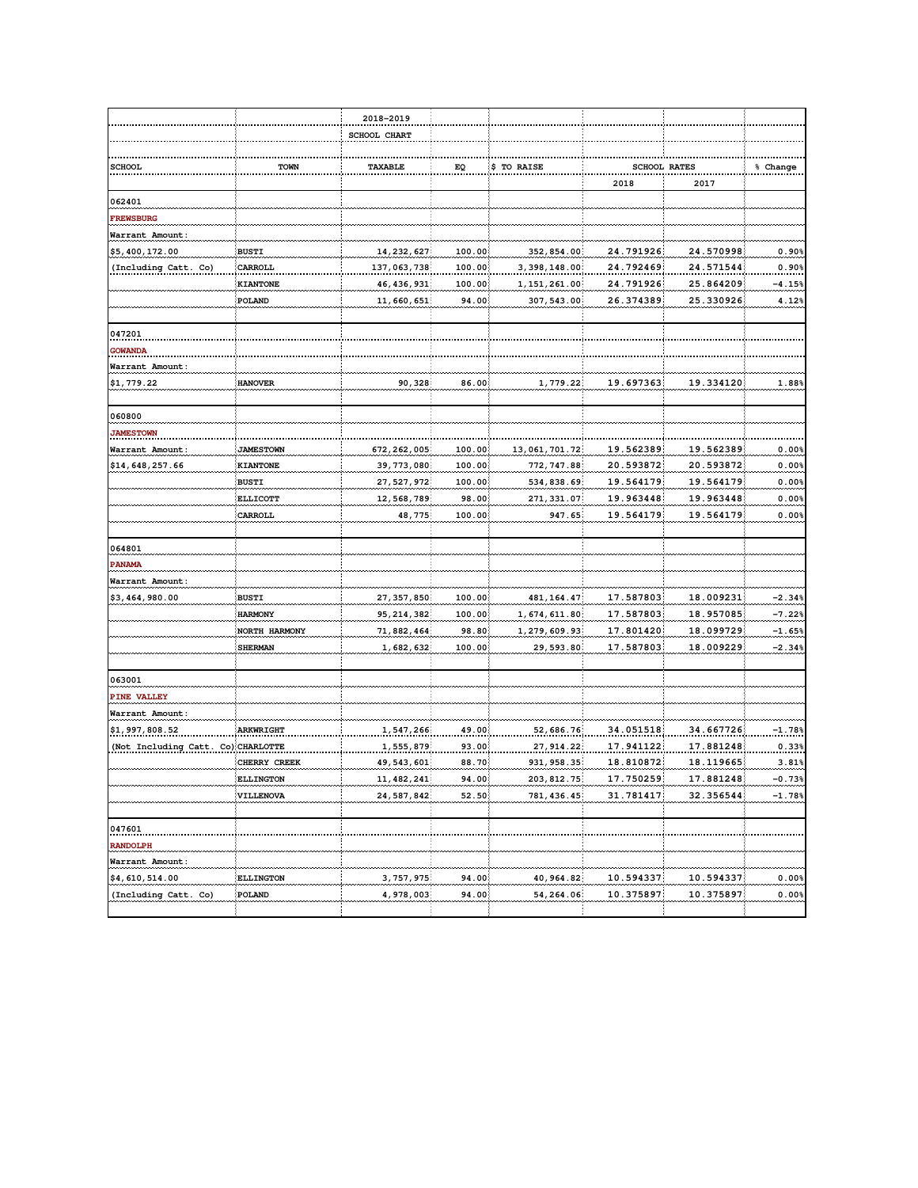|                                    |                  | 2018-2019     |        |                |           |                     |          |
|------------------------------------|------------------|---------------|--------|----------------|-----------|---------------------|----------|
|                                    |                  | SCHOOL CHART  |        |                |           |                     |          |
|                                    |                  |               |        |                |           |                     |          |
| <b>SCHOOL</b>                      | TOWN             | TAXABLE       | EQ     | \$ TO RAISE    |           | <b>SCHOOL RATES</b> | % Change |
|                                    |                  |               |        |                | 2018      | 2017                |          |
| 062401                             |                  |               |        |                |           |                     |          |
| FREWSBURG                          |                  |               |        |                |           |                     |          |
| Warrant Amount:                    |                  |               |        |                |           |                     |          |
| \$5,400,172.00                     | <b>BUSTI</b>     | 14, 232, 627  | 100.00 | 352,854.00     | 24.791926 | 24.570998           | 0.90%    |
| (Including Catt. Co)               | CARROLL          | 137,063,738   | 100.00 | 3, 398, 148.00 | 24.792469 | 24.571544           | 0.90%    |
|                                    | <b>KIANTONE</b>  | 46, 436, 931  | 100.00 | 1, 151, 261.00 | 24.791926 | 25.864209           | -4.15%   |
|                                    | POLAND           | 11,660,651    | 94.00  | 307, 543.00    | 26.374389 | 25.330926           | 4.12%    |
| 047201                             |                  |               |        |                |           |                     |          |
| <b>GOWANDA</b>                     |                  |               |        |                |           |                     |          |
| Warrant Amount:                    |                  |               |        |                |           |                     |          |
| \$1,779.22                         | <b>HANOVER</b>   | 90,328        | 86.00  | 1,779.22       | 19.697363 | 19.334120           | 1.88%    |
| 060800                             |                  |               |        |                |           |                     |          |
| <b>JAMESTOWN</b>                   |                  |               |        |                |           |                     |          |
| Warrant Amount:                    | <b>JAMESTOWN</b> | 672, 262, 005 | 100.00 | 13,061,701.72  | 19.562389 | 19.562389           | 0.00%    |
| \$14,648,257.66                    | KIANTONE         | 39, 773, 080  | 100.00 | 772, 747.88    | 20.593872 | 20.593872           | 0.00%    |
|                                    | <b>BUSTI</b>     | 27, 527, 972  | 100.00 | 534,838.69     | 19.564179 | 19.564179           | 0.00%    |
|                                    | <b>ELLICOTT</b>  | 12, 568, 789  | 98.00  | 271, 331.07    | 19.963448 | 19.963448           | 0.00%    |
|                                    | CARROLL          | 48,775        | 100.00 | 947.65         | 19.564179 | 19.564179           | 0.00%    |
|                                    |                  |               |        |                |           |                     |          |
| 064801                             |                  |               |        |                |           |                     |          |
| PANAMA                             |                  |               |        |                |           |                     |          |
| Warrant Amount:                    |                  |               |        |                |           |                     |          |
| \$3,464,980.00                     | <b>BUSTI</b>     | 27, 357, 850  | 100.00 | 481, 164.47    | 17.587803 | 18.009231           | $-2.34%$ |
|                                    | <b>HARMONY</b>   | 95, 214, 382  | 100.00 | 1, 674, 611.80 | 17.587803 | 18.957085           | $-7.22%$ |
|                                    | NORTH HARMONY    | 71,882,464    | 98.80  | 1,279,609.93   | 17.801420 | 18.099729           | $-1.65%$ |
|                                    | <b>SHERMAN</b>   | 1,682,632     | 100.00 | 29,593.80      | 17.587803 | 18.009229           | $-2.34%$ |
| 063001                             |                  |               |        |                |           |                     |          |
| <b>PINE VALLEY</b>                 |                  |               |        |                |           |                     |          |
| Warrant Amount:                    |                  |               |        |                |           |                     |          |
| \$1,997,808.52                     | <b>ARKWRIGHT</b> | 1,547,266     | 49.00  | 52,686.76      | 34.051518 | 34.667726           | $-1.78%$ |
| (Not Including Catt. Co) CHARLOTTE |                  | 1,555,879     | 93.00  | 27, 914.22     | 17.941122 | 17.881248           | 0.33%    |
|                                    | CHERRY CREEK     | 49, 543, 601  | 88.70  | 931, 958.35    | 18.810872 | 18.119665           | 3.81%    |
|                                    | <b>ELLINGTON</b> | 11, 482, 241  | 94.00  | 203, 812.75    | 17.750259 | 17.881248           | $-0.73%$ |
|                                    | <b>VILLENOVA</b> | 24, 587, 842  | 52.50  | 781, 436.45    | 31.781417 | 32.356544           | $-1.78%$ |
| 047601                             |                  |               |        |                |           |                     |          |
| <b>RANDOLPH</b>                    |                  |               |        |                |           |                     |          |
| Warrant Amount:                    |                  |               |        |                |           |                     |          |
| \$4,610,514.00                     | <b>ELLINGTON</b> | 3, 757, 975   | 94.00  | 40, 964.82     | 10.594337 | 10.594337           | $0.00\%$ |
| (Including Catt. Co)               | POLAND           | 4,978,003     | 94.00  | 54,264.06      | 10.375897 | 10.375897           | 0.00%    |